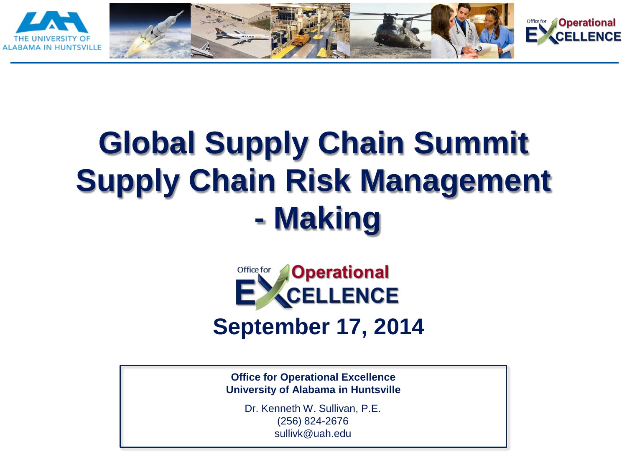

# **Global Supply Chain Summit Supply Chain Risk Management - Making**

Office for

**Operational** 



**Office for Operational Excellence University of Alabama in Huntsville**

> Dr. Kenneth W. Sullivan, P.E. (256) 824-2676 sullivk@uah.edu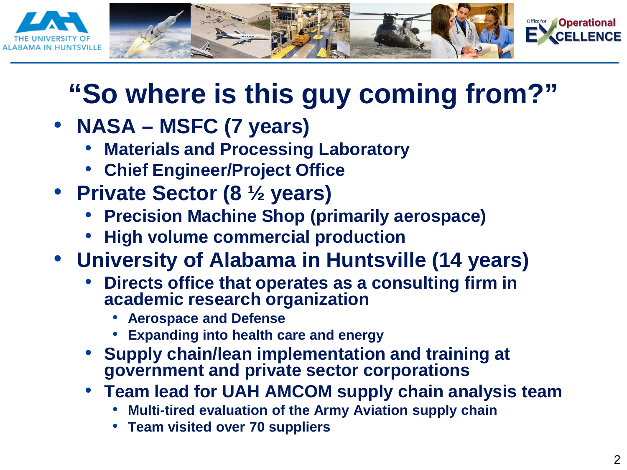

## **"So where is this guy coming from?"**

- **NASA – MSFC (7 years)**
	- **Materials and Processing Laboratory**
	- **Chief Engineer/Project Office**
- **Private Sector (8 ½ years)** 
	- **Precision Machine Shop (primarily aerospace)**
	- **High volume commercial production**
- **University of Alabama in Huntsville (14 years)**
	- **Directs office that operates as a consulting firm in academic research organization**
		- **Aerospace and Defense**
		- **Expanding into health care and energy**
	- **Supply chain/lean implementation and training at government and private sector corporations**
	- **Team lead for UAH AMCOM supply chain analysis team**
		- **Multi-tired evaluation of the Army Aviation supply chain**
		- **Team visited over 70 suppliers**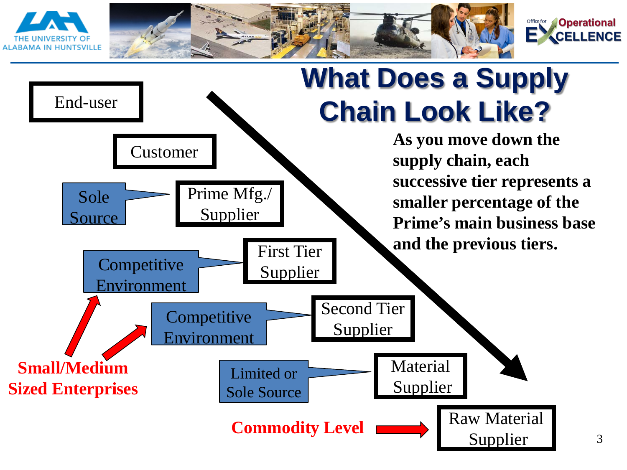

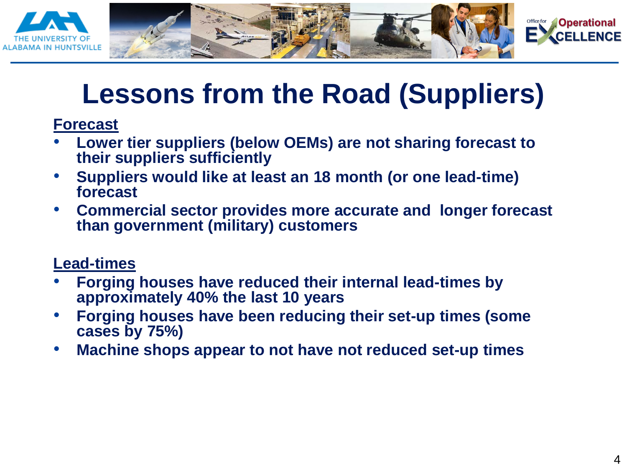



## **Lessons from the Road (Suppliers)**

**Forecast**

- **Lower tier suppliers (below OEMs) are not sharing forecast to their suppliers sufficiently**
- **Suppliers would like at least an 18 month (or one lead-time) forecast**
- **Commercial sector provides more accurate and longer forecast than government (military) customers**

#### **Lead-times**

- **Forging houses have reduced their internal lead-times by approximately 40% the last 10 years**
- **Forging houses have been reducing their set-up times (some cases by 75%)**
- **Machine shops appear to not have not reduced set-up times**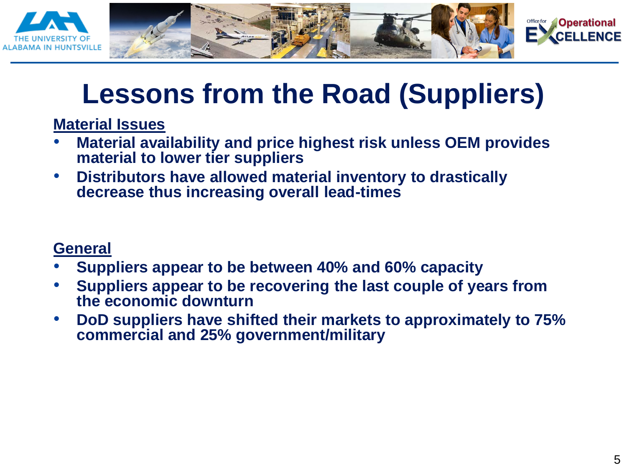

## **Lessons from the Road (Suppliers)**

**Material Issues**

- **Material availability and price highest risk unless OEM provides material to lower tier suppliers**
- **Distributors have allowed material inventory to drastically decrease thus increasing overall lead-times**

#### **General**

- **Suppliers appear to be between 40% and 60% capacity**
- **Suppliers appear to be recovering the last couple of years from the economic downturn**
- **DoD suppliers have shifted their markets to approximately to 75% commercial and 25% government/military**